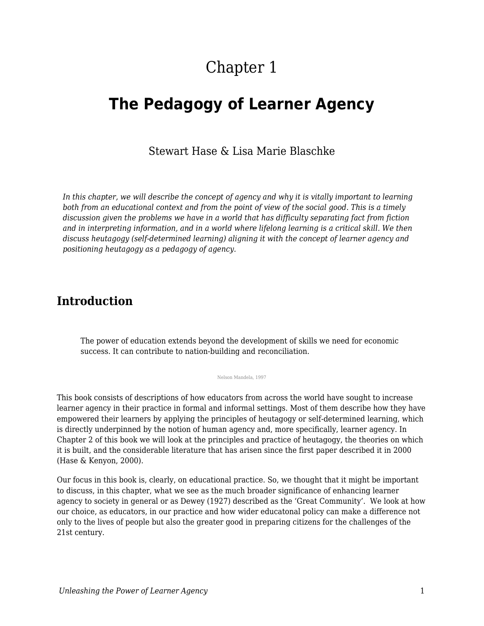# Chapter 1

# **The Pedagogy of Learner Agency**

#### Stewart Hase & Lisa Marie Blaschke

*In this chapter, we will describe the concept of agency and why it is vitally important to learning both from an educational context and from the point of view of the social good. This is a timely discussion given the problems we have in a world that has difficulty separating fact from fiction and in interpreting information, and in a world where lifelong learning is a critical skill. We then discuss heutagogy (self-determined learning) aligning it with the concept of learner agency and positioning heutagogy as a pedagogy of agency.* 

#### **Introduction**

The power of education extends beyond the development of skills we need for economic success. It can contribute to nation-building and reconciliation.

Nelson Mandela, 1997

This book consists of descriptions of how educators from across the world have sought to increase learner agency in their practice in formal and informal settings. Most of them describe how they have empowered their learners by applying the principles of heutagogy or self-determined learning, which is directly underpinned by the notion of human agency and, more specifically, learner agency. In Chapter 2 of this book we will look at the principles and practice of heutagogy, the theories on which it is built, and the considerable literature that has arisen since the first paper described it in 2000 (Hase & Kenyon, 2000).

Our focus in this book is, clearly, on educational practice. So, we thought that it might be important to discuss, in this chapter, what we see as the much broader significance of enhancing learner agency to society in general or as Dewey (1927) described as the 'Great Community'. We look at how our choice, as educators, in our practice and how wider educatonal policy can make a difference not only to the lives of people but also the greater good in preparing citizens for the challenges of the 21st century.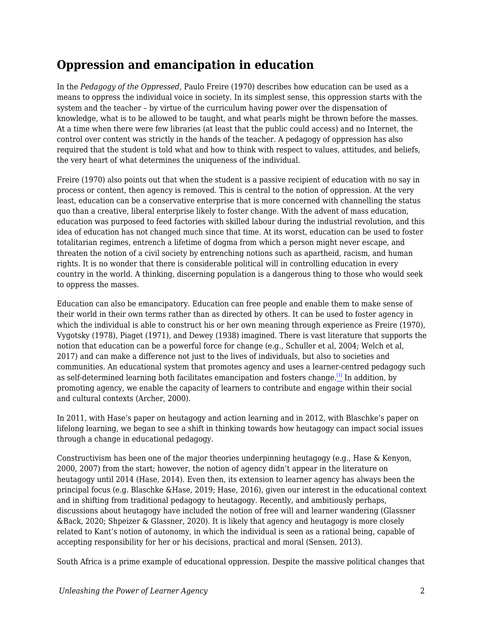### **Oppression and emancipation in education**

In the *Pedagogy of the Oppressed*, Paulo Freire (1970) describes how education can be used as a means to oppress the individual voice in society. In its simplest sense, this oppression starts with the system and the teacher – by virtue of the curriculum having power over the dispensation of knowledge, what is to be allowed to be taught, and what pearls might be thrown before the masses. At a time when there were few libraries (at least that the public could access) and no Internet, the control over content was strictly in the hands of the teacher. A pedagogy of oppression has also required that the student is told what and how to think with respect to values, attitudes, and beliefs, the very heart of what determines the uniqueness of the individual.

Freire (1970) also points out that when the student is a passive recipient of education with no say in process or content, then agency is removed. This is central to the notion of oppression. At the very least, education can be a conservative enterprise that is more concerned with channelling the status quo than a creative, liberal enterprise likely to foster change. With the advent of mass education, education was purposed to feed factories with skilled labour during the industrial revolution, and this idea of education has not changed much since that time. At its worst, education can be used to foster totalitarian regimes, entrench a lifetime of dogma from which a person might never escape, and threaten the notion of a civil society by entrenching notions such as apartheid, racism, and human rights. It is no wonder that there is considerable political will in controlling education in every country in the world. A thinking, discerning population is a dangerous thing to those who would seek to oppress the masses.

Education can also be emancipatory. Education can free people and enable them to make sense of their world in their own terms rather than as directed by others. It can be used to foster agency in which the individual is able to construct his or her own meaning through experience as Freire (1970), Vygotsky (1978), Piaget (1971), and Dewey (1938) imagined. There is vast literature that supports the notion that education can be a powerful force for change (e.g., Schuller et al, 2004; Welch et al, 2017) and can make a difference not just to the lives of individuals, but also to societies and communities. An educational system that promotes agency and uses a learner-centred pedagogy such as self-determined learning both facilitates emancipation and fosters change.[\[1\]](#page-7-0) In addition, by promoting agency, we enable the capacity of learners to contribute and engage within their social and cultural contexts (Archer, 2000).

<span id="page-1-0"></span>In 2011, with Hase's paper on heutagogy and action learning and in 2012, with Blaschke's paper on lifelong learning, we began to see a shift in thinking towards how heutagogy can impact social issues through a change in educational pedagogy.

Constructivism has been one of the major theories underpinning heutagogy (e.g., Hase & Kenyon, 2000, 2007) from the start; however, the notion of agency didn't appear in the literature on heutagogy until 2014 (Hase, 2014). Even then, its extension to learner agency has always been the principal focus (e.g. Blaschke &Hase, 2019; Hase, 2016), given our interest in the educational context and in shifting from traditional pedagogy to heutagogy. Recently, and ambitiously perhaps, discussions about heutagogy have included the notion of free will and learner wandering (Glassner &Back, 2020; Shpeizer & Glassner, 2020). It is likely that agency and heutagogy is more closely related to Kant's notion of autonomy, in which the individual is seen as a rational being, capable of accepting responsibility for her or his decisions, practical and moral (Sensen, 2013).

South Africa is a prime example of educational oppression. Despite the massive political changes that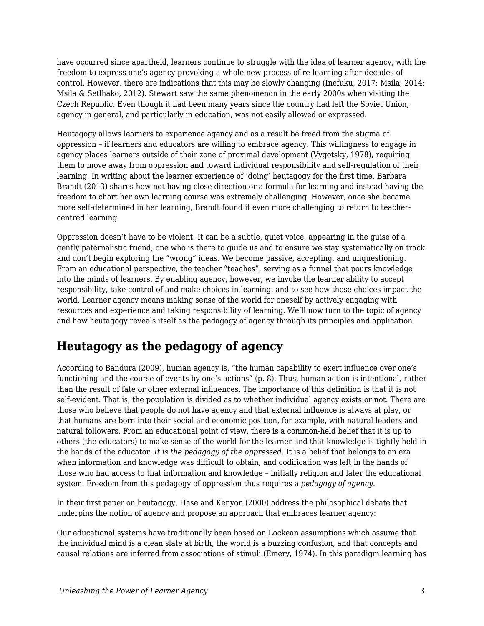have occurred since apartheid, learners continue to struggle with the idea of learner agency, with the freedom to express one's agency provoking a whole new process of re-learning after decades of control. However, there are indications that this may be slowly changing (Inefuku, 2017; Msila, 2014; Msila & Setlhako, 2012). Stewart saw the same phenomenon in the early 2000s when visiting the Czech Republic. Even though it had been many years since the country had left the Soviet Union, agency in general, and particularly in education, was not easily allowed or expressed.

Heutagogy allows learners to experience agency and as a result be freed from the stigma of oppression – if learners and educators are willing to embrace agency. This willingness to engage in agency places learners outside of their zone of proximal development (Vygotsky, 1978), requiring them to move away from oppression and toward individual responsibility and self-regulation of their learning. In writing about the learner experience of 'doing' heutagogy for the first time, Barbara Brandt (2013) shares how not having close direction or a formula for learning and instead having the freedom to chart her own learning course was extremely challenging. However, once she became more self-determined in her learning, Brandt found it even more challenging to return to teachercentred learning.

Oppression doesn't have to be violent. It can be a subtle, quiet voice, appearing in the guise of a gently paternalistic friend, one who is there to guide us and to ensure we stay systematically on track and don't begin exploring the "wrong" ideas. We become passive, accepting, and unquestioning. From an educational perspective, the teacher "teaches", serving as a funnel that pours knowledge into the minds of learners. By enabling agency, however, we invoke the learner ability to accept responsibility, take control of and make choices in learning, and to see how those choices impact the world. Learner agency means making sense of the world for oneself by actively engaging with resources and experience and taking responsibility of learning. We'll now turn to the topic of agency and how heutagogy reveals itself as the pedagogy of agency through its principles and application.

### **Heutagogy as the pedagogy of agency**

According to Bandura (2009), human agency is, "the human capability to exert influence over one's functioning and the course of events by one's actions" (p. 8). Thus, human action is intentional, rather than the result of fate or other external influences. The importance of this definition is that it is not self-evident. That is, the population is divided as to whether individual agency exists or not. There are those who believe that people do not have agency and that external influence is always at play, or that humans are born into their social and economic position, for example, with natural leaders and natural followers. From an educational point of view, there is a common-held belief that it is up to others (the educators) to make sense of the world for the learner and that knowledge is tightly held in the hands of the educator. *It is the pedagogy of the oppressed.* It is a belief that belongs to an era when information and knowledge was difficult to obtain, and codification was left in the hands of those who had access to that information and knowledge – initially religion and later the educational system. Freedom from this pedagogy of oppression thus requires a *pedagogy of agency*.

In their first paper on heutagogy, Hase and Kenyon (2000) address the philosophical debate that underpins the notion of agency and propose an approach that embraces learner agency:

Our educational systems have traditionally been based on Lockean assumptions which assume that the individual mind is a clean slate at birth, the world is a buzzing confusion, and that concepts and causal relations are inferred from associations of stimuli (Emery, 1974). In this paradigm learning has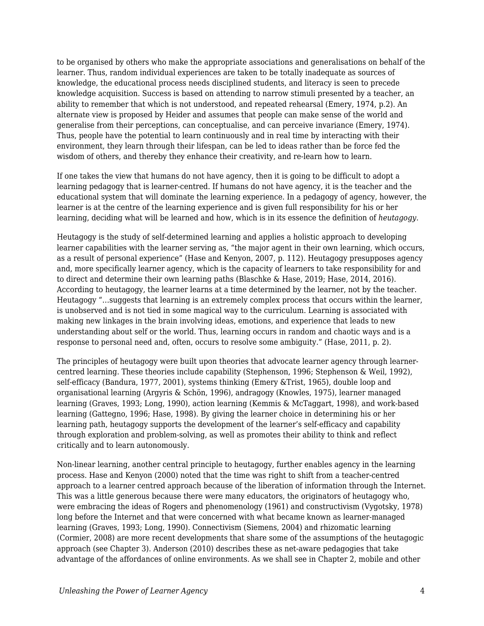to be organised by others who make the appropriate associations and generalisations on behalf of the learner. Thus, random individual experiences are taken to be totally inadequate as sources of knowledge, the educational process needs disciplined students, and literacy is seen to precede knowledge acquisition. Success is based on attending to narrow stimuli presented by a teacher, an ability to remember that which is not understood, and repeated rehearsal (Emery, 1974, p.2). An alternate view is proposed by Heider and assumes that people can make sense of the world and generalise from their perceptions, can conceptualise, and can perceive invariance (Emery, 1974). Thus, people have the potential to learn continuously and in real time by interacting with their environment, they learn through their lifespan, can be led to ideas rather than be force fed the wisdom of others, and thereby they enhance their creativity, and re-learn how to learn.

If one takes the view that humans do not have agency, then it is going to be difficult to adopt a learning pedagogy that is learner-centred. If humans do not have agency, it is the teacher and the educational system that will dominate the learning experience. In a pedagogy of agency, however, the learner is at the centre of the learning experience and is given full responsibility for his or her learning, deciding what will be learned and how, which is in its essence the definition of *heutagogy*.

Heutagogy is the study of self-determined learning and applies a holistic approach to developing learner capabilities with the learner serving as, "the major agent in their own learning, which occurs, as a result of personal experience" (Hase and Kenyon, 2007, p. 112). Heutagogy presupposes agency and, more specifically learner agency, which is the capacity of learners to take responsibility for and to direct and determine their own learning paths (Blaschke & Hase, 2019; Hase, 2014, 2016). According to heutagogy, the learner learns at a time determined by the learner, not by the teacher. Heutagogy "…suggests that learning is an extremely complex process that occurs within the learner, is unobserved and is not tied in some magical way to the curriculum. Learning is associated with making new linkages in the brain involving ideas, emotions, and experience that leads to new understanding about self or the world. Thus, learning occurs in random and chaotic ways and is a response to personal need and, often, occurs to resolve some ambiguity." (Hase, 2011, p. 2).

The principles of heutagogy were built upon theories that advocate learner agency through learnercentred learning. These theories include capability (Stephenson, 1996; Stephenson & Weil, 1992), self-efficacy (Bandura, 1977, 2001), systems thinking (Emery &Trist, 1965), double loop and organisational learning (Argyris & Schön, 1996), andragogy (Knowles, 1975), learner managed learning (Graves, 1993; Long, 1990), action learning (Kemmis & McTaggart, 1998), and work-based learning (Gattegno, 1996; Hase, 1998). By giving the learner choice in determining his or her learning path, heutagogy supports the development of the learner's self-efficacy and capability through exploration and problem-solving, as well as promotes their ability to think and reflect critically and to learn autonomously.

Non-linear learning, another central principle to heutagogy, further enables agency in the learning process. Hase and Kenyon (2000) noted that the time was right to shift from a teacher-centred approach to a learner centred approach because of the liberation of information through the Internet. This was a little generous because there were many educators, the originators of heutagogy who, were embracing the ideas of Rogers and phenomenology (1961) and constructivism (Vygotsky, 1978) long before the Internet and that were concerned with what became known as learner-managed learning (Graves, 1993; Long, 1990). Connectivism (Siemens, 2004) and rhizomatic learning (Cormier, 2008) are more recent developments that share some of the assumptions of the heutagogic approach (see Chapter 3). Anderson (2010) describes these as net-aware pedagogies that take advantage of the affordances of online environments. As we shall see in Chapter 2, mobile and other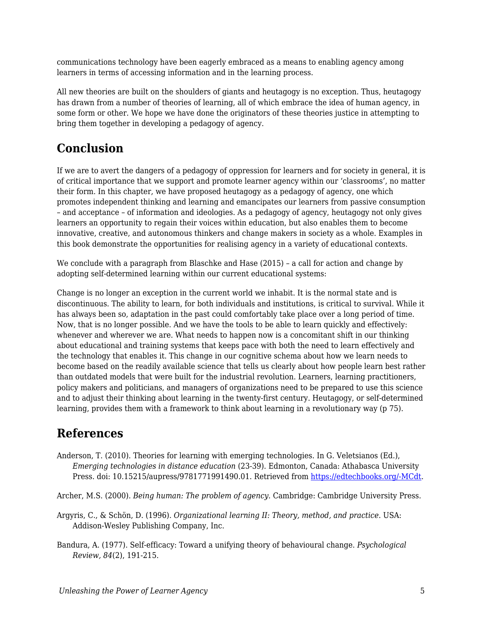communications technology have been eagerly embraced as a means to enabling agency among learners in terms of accessing information and in the learning process.

All new theories are built on the shoulders of giants and heutagogy is no exception. Thus, heutagogy has drawn from a number of theories of learning, all of which embrace the idea of human agency, in some form or other. We hope we have done the originators of these theories justice in attempting to bring them together in developing a pedagogy of agency.

#### **Conclusion**

If we are to avert the dangers of a pedagogy of oppression for learners and for society in general, it is of critical importance that we support and promote learner agency within our 'classrooms', no matter their form. In this chapter, we have proposed heutagogy as a pedagogy of agency, one which promotes independent thinking and learning and emancipates our learners from passive consumption – and acceptance – of information and ideologies. As a pedagogy of agency, heutagogy not only gives learners an opportunity to regain their voices within education, but also enables them to become innovative, creative, and autonomous thinkers and change makers in society as a whole. Examples in this book demonstrate the opportunities for realising agency in a variety of educational contexts.

We conclude with a paragraph from Blaschke and Hase (2015) – a call for action and change by adopting self-determined learning within our current educational systems:

Change is no longer an exception in the current world we inhabit. It is the normal state and is discontinuous. The ability to learn, for both individuals and institutions, is critical to survival. While it has always been so, adaptation in the past could comfortably take place over a long period of time. Now, that is no longer possible. And we have the tools to be able to learn quickly and effectively: whenever and wherever we are. What needs to happen now is a concomitant shift in our thinking about educational and training systems that keeps pace with both the need to learn effectively and the technology that enables it. This change in our cognitive schema about how we learn needs to become based on the readily available science that tells us clearly about how people learn best rather than outdated models that were built for the industrial revolution. Learners, learning practitioners, policy makers and politicians, and managers of organizations need to be prepared to use this science and to adjust their thinking about learning in the twenty-first century. Heutagogy, or self-determined learning, provides them with a framework to think about learning in a revolutionary way (p 75).

#### **References**

- Anderson, T. (2010). Theories for learning with emerging technologies. In G. Veletsianos (Ed.), *Emerging technologies in distance education* (23-39). Edmonton, Canada: Athabasca University Press. doi: 10.15215/aupress/9781771991490.01. Retrieved from [https://edtechbooks.org/-MCdt](http://www.aupress.ca/index.php/books/120177).
- Archer, M.S. (2000). *Being human: The problem of agency*. Cambridge: Cambridge University Press.
- Argyris, C., & Schön, D. (1996). *Organizational learning II: Theory, method, and practice*. USA: Addison-Wesley Publishing Company, Inc.
- Bandura, A. (1977). Self-efficacy: Toward a unifying theory of behavioural change. *Psychological Review, 84*(2), 191-215.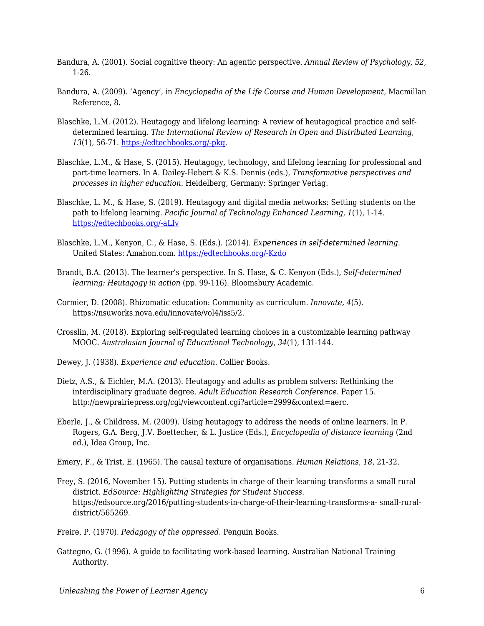- Bandura, A. (2001). Social cognitive theory: An agentic perspective. *Annual Review of Psychology, 52,* 1-26.
- Bandura, A. (2009). 'Agency', in *Encyclopedia of the Life Course and Human Development*, Macmillan Reference, 8.
- Blaschke, L.M. (2012). Heutagogy and lifelong learning: A review of heutagogical practice and selfdetermined learning. *The International Review of Research in Open and Distributed Learning, 13*(1), 56-71. [https://edtechbooks.org/-pkq.](http://www.irrodl.org/index.php/irrodl/article/view/1076/2087)
- Blaschke, L.M., & Hase, S. (2015). Heutagogy, technology, and lifelong learning for professional and part-time learners. In A. Dailey-Hebert & K.S. Dennis (eds.), *Transformative perspectives and processes in higher education*. Heidelberg, Germany: Springer Verlag.
- Blaschke, L. M., & Hase, S. (2019). Heutagogy and digital media networks: Setting students on the path to lifelong learning. *Pacific Journal of Technology Enhanced Learning, 1*(1), 1-14. [https://edtechbooks.org/-aLIv](https://doi.org/https:/doi.org/10.24135/pjtel.v1i1.1)
- Blaschke, L.M., Kenyon, C., & Hase, S. (Eds.). (2014). *Experiences in self-determined learning*. United States: Amahon.com. [https://edtechbooks.org/-Kzdo](https://uol.de/coer/announcements/free-oer-now-available-experiences-in-self-determined-learning/)
- Brandt, B.A. (2013). The learner's perspective. In S. Hase, & C. Kenyon (Eds.), *Self-determined learning: Heutagogy in action* (pp. 99-116). Bloomsbury Academic.
- Cormier, D. (2008). Rhizomatic education: Community as curriculum. *Innovate, 4*(5). https://nsuworks.nova.edu/innovate/vol4/iss5/2.
- Crosslin, M. (2018). Exploring self-regulated learning choices in a customizable learning pathway MOOC. *Australasian Journal of Educational Technology, 34*(1), 131-144.
- Dewey, J. (1938). *Experience and education*. Collier Books.
- Dietz, A.S., & Eichler, M.A. (2013). Heutagogy and adults as problem solvers: Rethinking the interdisciplinary graduate degree. *Adult Education Research Conference*. Paper 15. http://newprairiepress.org/cgi/viewcontent.cgi?article=2999&context=aerc.
- Eberle, J., & Childress, M. (2009). Using heutagogy to address the needs of online learners. In P. Rogers, G.A. Berg, J.V. Boettecher, & L. Justice (Eds.), *Encyclopedia of distance learning* (2nd ed.), Idea Group, Inc.
- Emery, F., & Trist, E. (1965). The causal texture of organisations. *Human Relations*, *18*, 21-32.
- Frey, S. (2016, November 15). Putting students in charge of their learning transforms a small rural district. *EdSource: Highlighting Strategies for Student Success*. https://edsource.org/2016/putting-students-in-charge-of-their-learning-transforms-a- small-ruraldistrict/565269.
- Freire, P. (1970). *Pedagogy of the oppressed*. Penguin Books.
- Gattegno, G. (1996). A guide to facilitating work-based learning. Australian National Training Authority.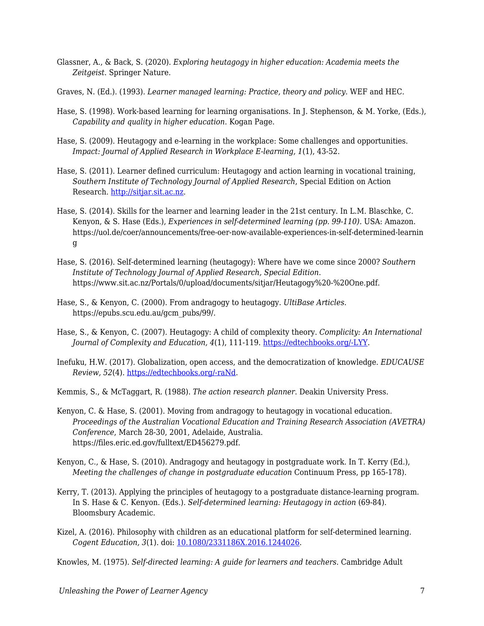- Glassner, A., & Back, S. (2020). *Exploring heutagogy in higher education: Academia meets the Zeitgeist*. Springer Nature.
- Graves, N. (Ed.). (1993). *Learner managed learning: Practice, theory and policy*. WEF and HEC.
- Hase, S. (1998). Work-based learning for learning organisations. In J. Stephenson, & M. Yorke, (Eds.), *Capability and quality in higher education*. Kogan Page.
- Hase, S. (2009). Heutagogy and e-learning in the workplace: Some challenges and opportunities. *Impact: Journal of Applied Research in Workplace E-learning, 1*(1), 43-52.
- Hase, S. (2011). Learner defined curriculum: Heutagogy and action learning in vocational training, *Southern Institute of Technology Journal of Applied Research*, Special Edition on Action Research.<http://sitjar.sit.ac.nz>.
- Hase, S. (2014). Skills for the learner and learning leader in the 21st century. In L.M. Blaschke, C. Kenyon, & S. Hase (Eds.), *Experiences in self-determined learning (pp. 99-110).* USA: Amazon. https://uol.de/coer/announcements/free-oer-now-available-experiences-in-self-determined-learnin g
- Hase, S. (2016). Self-determined learning (heutagogy): Where have we come since 2000? *Southern Institute of Technology Journal of Applied Research, Special Edition*. https://www.sit.ac.nz/Portals/0/upload/documents/sitjar/Heutagogy%20-%20One.pdf.
- Hase, S., & Kenyon, C. (2000). From andragogy to heutagogy. *UltiBase Articles*. https://epubs.scu.edu.au/gcm\_pubs/99/.
- Hase, S., & Kenyon, C. (2007). Heutagogy: A child of complexity theory. *Complicity: An International Journal of Complexity and Education, 4*(1), 111-119. [https://edtechbooks.org/-LYY](https://journals.library.ualberta.ca/complicity/index.php/complicity/article/view/8766/7086).
- Inefuku, H.W. (2017). Globalization, open access, and the democratization of knowledge. *EDUCAUSE Review, 52*(4). [https://edtechbooks.org/-raNd](https://er.educause.edu/articles/2017/7/globalization-open-access-and-the-democratization-of-knowledge).

Kemmis, S., & McTaggart, R. (1988). *The action research planner*. Deakin University Press.

- Kenyon, C. & Hase, S. (2001). Moving from andragogy to heutagogy in vocational education. *Proceedings of the Australian Vocational Education and Training Research Association (AVETRA) Conference*, March 28-30, 2001, Adelaide, Australia. https://files.eric.ed.gov/fulltext/ED456279.pdf.
- Kenyon, C., & Hase, S. (2010). Andragogy and heutagogy in postgraduate work. In T. Kerry (Ed.), *Meeting the challenges of change in postgraduate education* Continuum Press, pp 165-178).
- Kerry, T. (2013). Applying the principles of heutagogy to a postgraduate distance-learning program. In S. Hase & C. Kenyon. (Eds.). *Self-determined learning: Heutagogy in action* (69-84). Bloomsbury Academic.
- Kizel, A. (2016). Philosophy with children as an educational platform for self-determined learning. *Cogent Education, 3*(1). doi: [10.1080/2331186X.2016.1244026](https://doi.org/10.1080/2331186X.2016.1244026).

Knowles, M. (1975). *Self-directed learning: A guide for learners and teachers*. Cambridge Adult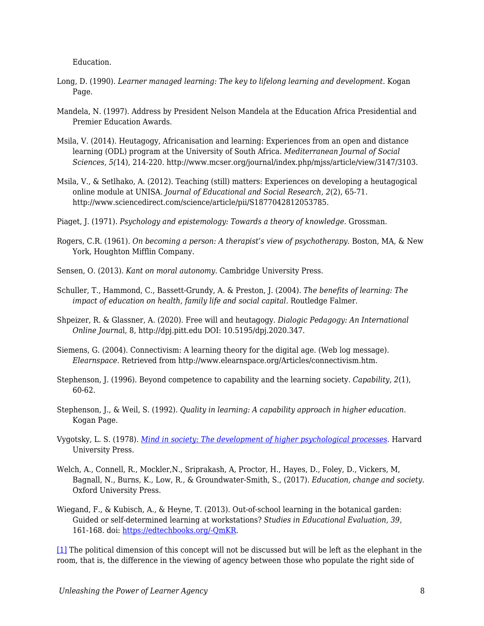Education.

- Long, D. (1990). *Learner managed learning: The key to lifelong learning and development*. Kogan Page.
- Mandela, N. (1997). Address by President Nelson Mandela at the Education Africa Presidential and Premier Education Awards.
- Msila, V. (2014). Heutagogy, Africanisation and learning: Experiences from an open and distance learning (ODL) program at the University of South Africa. *Mediterranean Journal of Social Sciences, 5(*14), 214-220. http://www.mcser.org/journal/index.php/mjss/article/view/3147/3103.
- Msila, V., & Setlhako, A. (2012). Teaching (still) matters: Experiences on developing a heutagogical online module at UNISA. *Journal of Educational and Social Research, 2*(2), 65-71. http://www.sciencedirect.com/science/article/pii/S1877042812053785.
- Piaget, J. (1971). *Psychology and epistemology: Towards a theory of knowledge.* Grossman.
- Rogers, C.R. (1961). *On becoming a person: A therapist's view of psychotherapy*. Boston, MA, & New York, Houghton Mifflin Company.
- Sensen, O. (2013). *Kant on moral autonomy*. Cambridge University Press.
- Schuller, T., Hammond, C., Bassett-Grundy, A. & Preston, J. (2004). *The benefits of learning: The impact of education on health, family life and social capital*. Routledge Falmer.
- Shpeizer, R. & Glassner, A. (2020). Free will and heutagogy. *Dialogic Pedagogy: An International Online Journa*l, 8, http://dpj.pitt.edu DOI: 10.5195/dpj.2020.347.
- Siemens, G. (2004). Connectivism: A learning theory for the digital age. (Web log message). *Elearnspace*. Retrieved from http://www.elearnspace.org/Articles/connectivism.htm.
- Stephenson, J. (1996). Beyond competence to capability and the learning society. *Capability, 2*(1), 60-62.
- Stephenson, J., & Weil, S. (1992). *Quality in learning: A capability approach in higher education*. Kogan Page.
- Vygotsky, L. S. (1978). *[Mind in society: The development of higher psychological processes](http://ouleft.org/wp-content/uploads/Vygotsky-Mind-in-Society.pdf).* Harvard University Press.
- Welch, A., Connell, R., Mockler,N., Sriprakash, A, Proctor, H., Hayes, D., Foley, D., Vickers, M, Bagnall, N., Burns, K., Low, R., & Groundwater-Smith, S., (2017). *Education, change and society.* Oxford University Press.
- Wiegand, F., & Kubisch, A., & Heyne, T. (2013). Out-of-school learning in the botanical garden: Guided or self-determined learning at workstations? *Studies in Educational Evaluation, 39,* 161-168. doi: [https://edtechbooks.org/-QmKR.](http://dx.doi.org/10.1016/j.stueduc.2013.06.001)

<span id="page-7-0"></span>[\[1\]](#page-1-0) The political dimension of this concept will not be discussed but will be left as the elephant in the room, that is, the difference in the viewing of agency between those who populate the right side of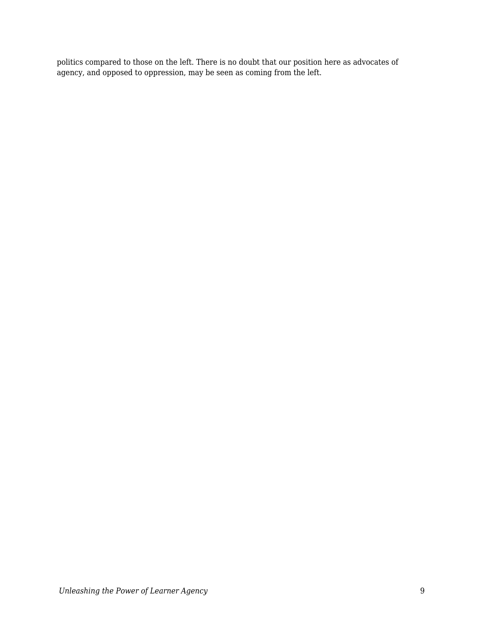politics compared to those on the left. There is no doubt that our position here as advocates of agency, and opposed to oppression, may be seen as coming from the left.